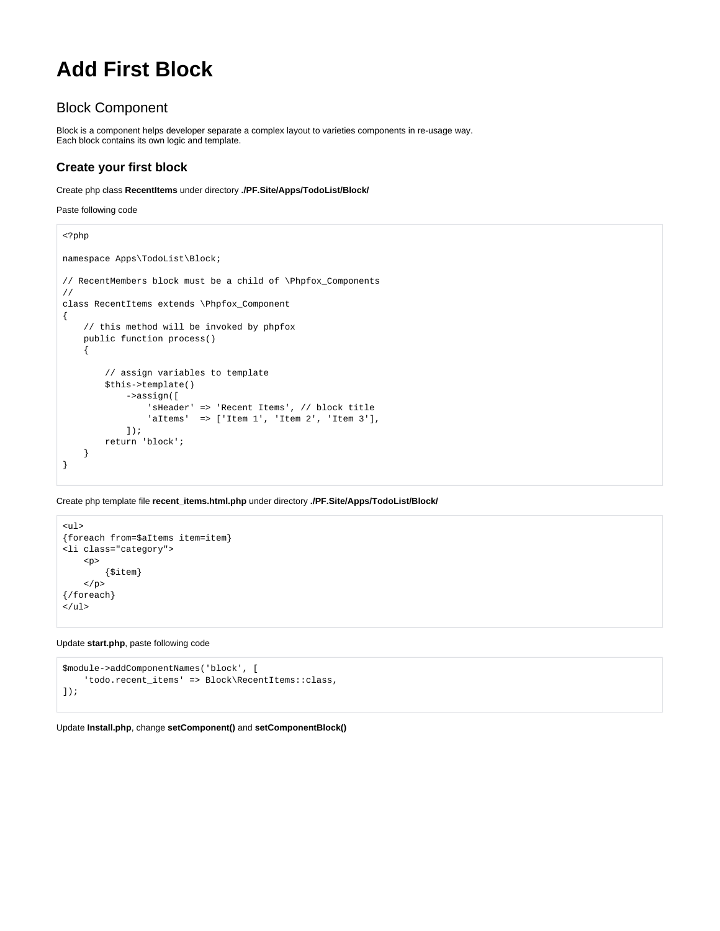## **Add First Block**

## Block Component

Block is a component helps developer separate a complex layout to varieties components in re-usage way. Each block contains its own logic and template.

## **Create your first block**

Create php class **RecentItems** under directory **./PF.Site/Apps/TodoList/Block/**

Paste following code

```
<?php
namespace Apps\TodoList\Block;
// RecentMembers block must be a child of \Phpfox_Components
//
class RecentItems extends \Phpfox_Component
{
     // this method will be invoked by phpfox
    public function process()
     {
         // assign variables to template
         $this->template()
             ->assign([
                 'sHeader' => 'Recent Items', // block title
                 'aItems' => ['Item 1', 'Item 2', 'Item 3'],
             ]);
         return 'block';
     }
}
```
Create php template file **recent\_items.html.php** under directory **./PF.Site/Apps/TodoList/Block/**

```
\lequl>
{foreach from=$aItems item=item}
<li class="category">
     <p>
          {$item}
    \langle/p>
{/foreach}
\langleul>
```
Update **start.php**, paste following code

```
$module->addComponentNames('block', [
     'todo.recent_items' => Block\RecentItems::class,
]);
```
Update **Install.php**, change **setComponent()** and **setComponentBlock()**